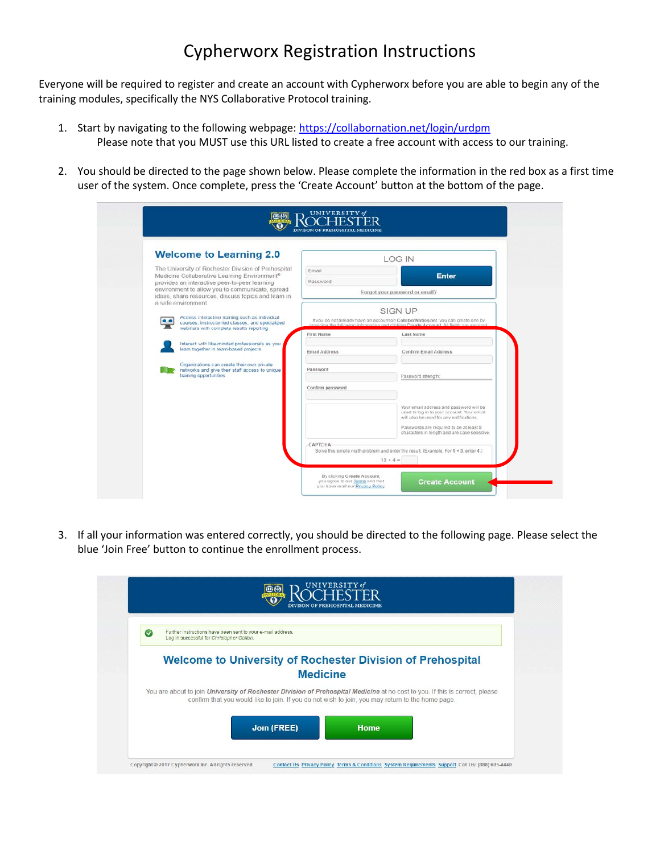## Cypherworx Registration Instructions

Everyone will be required to register and create an account with Cypherworx before you are able to begin any of the training modules, specifically the NYS Collaborative Protocol training.

- 1. Start by navigating to the following webpage:<https://collabornation.net/login/urdpm> Please note that you MUST use this URL listed to create a free account with access to our training.
- 2. You should be directed to the page shown below. Please complete the information in the red box as a first time user of the system. Once complete, press the 'Create Account' button at the bottom of the page.

| <b>Welcome to Learning 2.0</b>                                                                                         | <b>LOG IN</b>                                                                                          |                                                                                                                                                                                                                              |
|------------------------------------------------------------------------------------------------------------------------|--------------------------------------------------------------------------------------------------------|------------------------------------------------------------------------------------------------------------------------------------------------------------------------------------------------------------------------------|
| The University of Rochester Division of Prehospital<br>Medicine Collaborative Learning Environment <sup>®</sup>        | Email                                                                                                  | <b>Enter</b>                                                                                                                                                                                                                 |
| provides an interactive peer-to-peer learning<br>environment to allow you to communicate, spread                       | Password                                                                                               |                                                                                                                                                                                                                              |
| ideas, share resources, discuss topics and learn in                                                                    |                                                                                                        | Forgot your password or email?                                                                                                                                                                                               |
| a safe environment.                                                                                                    | <b>SIGN UP</b>                                                                                         |                                                                                                                                                                                                                              |
| Access interactive training such as individual<br>courses, instructor-led classes, and specialized                     |                                                                                                        | If you do not already have an account on CollaborNation.net, you can create one by<br>providing the following information and clicking Create Account. All fields are required                                               |
| webinars with complete results reporting                                                                               | First Name                                                                                             | Last Name                                                                                                                                                                                                                    |
| Interact with like-minded professionals as you<br>learn together in team-based projects                                | Email Address                                                                                          | Confirm Email Address                                                                                                                                                                                                        |
| Organizations can create their own private<br>networks and give their staff access to unique<br>training opportunities | Password                                                                                               | Password strength:                                                                                                                                                                                                           |
|                                                                                                                        | Confirm password                                                                                       |                                                                                                                                                                                                                              |
|                                                                                                                        |                                                                                                        | Your email address and password will be<br>used to log in to your account. Your email<br>will also be used for any notifications.<br>Passwords are required to be at least 5<br>characters in length and are case sensitive. |
|                                                                                                                        | <b>САРТСНА-</b><br>Solve this simple math problem and enter the result. (Example: For 1 + 3, enter 4.) |                                                                                                                                                                                                                              |

3. If all your information was entered correctly, you should be directed to the following page. Please select the blue 'Join Free' button to continue the enrollment process.

| $\bullet$ | Further instructions have been sent to your e-mail address.<br>Log in successful for Christopher Galton.                                                                                                                          |
|-----------|-----------------------------------------------------------------------------------------------------------------------------------------------------------------------------------------------------------------------------------|
|           | <b>Welcome to University of Rochester Division of Prehospital</b>                                                                                                                                                                 |
|           | <b>Medicine</b>                                                                                                                                                                                                                   |
|           | You are about to join University of Rochester Division of Prehospital Medicine at no cost to you. If this is correct, please<br>confirm that you would like to join. If you do not wish to join, you may return to the home page. |
|           |                                                                                                                                                                                                                                   |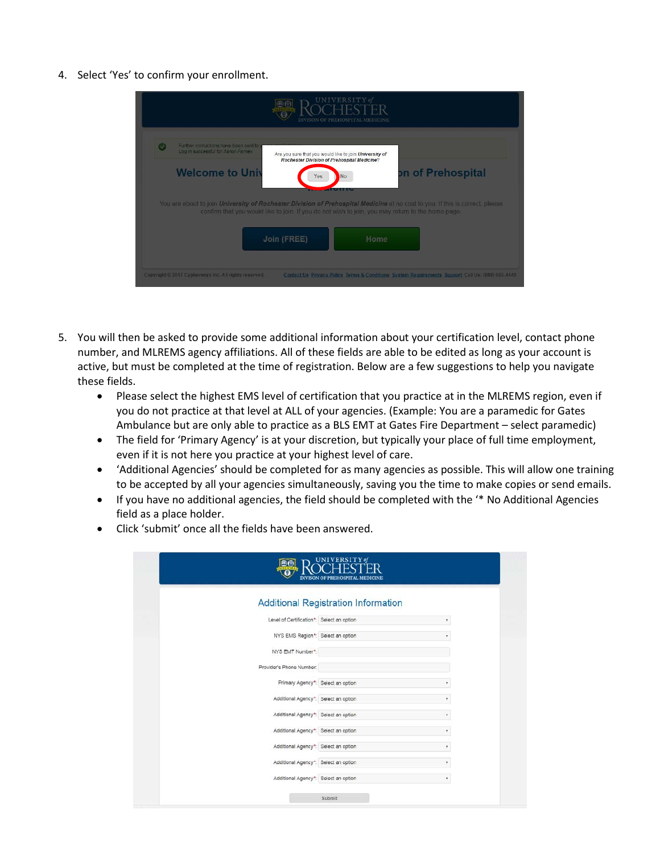4. Select 'Yes' to confirm your enrollment.

|                                                                                                                     | DIVISON OF PREHOSPITAL MEDICINE                                                                                                                                                                                                           |
|---------------------------------------------------------------------------------------------------------------------|-------------------------------------------------------------------------------------------------------------------------------------------------------------------------------------------------------------------------------------------|
| Further instructions have been sent to<br>$\omega$<br>Log in successful for Aaron Farney.<br><b>Welcome to Univ</b> | Are you sure that you would like to join University of<br><b>Rochester Division of Prehospital Medicine?</b><br>on of Prehospital<br>N <sub>o</sub><br>Yes                                                                                |
| Join (FREE)                                                                                                         | You are about to join University of Rochester Division of Prehospital Medicine at no cost to you. If this is correct, please<br>confirm that you would like to join. If you do not wish to join, you may return to the home page.<br>Home |
| Copyright @ 2017 Cypherworx Inc. All rights reserved.                                                               | Contact Us, Privacy Policy, Terms & Conditions, System Requirements, Support, Call Us: (888) 685-4440.                                                                                                                                    |

- 5. You will then be asked to provide some additional information about your certification level, contact phone number, and MLREMS agency affiliations. All of these fields are able to be edited as long as your account is active, but must be completed at the time of registration. Below are a few suggestions to help you navigate these fields.
	- Please select the highest EMS level of certification that you practice at in the MLREMS region, even if you do not practice at that level at ALL of your agencies. (Example: You are a paramedic for Gates Ambulance but are only able to practice as a BLS EMT at Gates Fire Department – select paramedic)
	- The field for 'Primary Agency' is at your discretion, but typically your place of full time employment, even if it is not here you practice at your highest level of care.
	- 'Additional Agencies' should be completed for as many agencies as possible. This will allow one training to be accepted by all your agencies simultaneously, saving you the time to make copies or send emails.
	- If you have no additional agencies, the field should be completed with the '\* No Additional Agencies field as a place holder.
	- Click 'submit' once all the fields have been answered.

|                                           | <b>Additional Registration Information</b> |   |  |
|-------------------------------------------|--------------------------------------------|---|--|
|                                           |                                            |   |  |
| Level of Certification*: Select an option |                                            | ۰ |  |
| NYS EMS Region*: Select an option         |                                            |   |  |
| NYS EMT Number*:                          |                                            |   |  |
| Provider's Phone Number:                  |                                            |   |  |
| Primary Agency*: Select an option         |                                            | ٠ |  |
| Additional Agency*: Select an option      |                                            | ٠ |  |
| Additional Agency": Select an option      |                                            | ٠ |  |
| Additional Agency*: Select an option      |                                            | ٠ |  |
| Additional Agency*: Select an option      |                                            | ٧ |  |
| Additional Agency*: Select an option      |                                            | ٠ |  |
|                                           |                                            |   |  |
|                                           | Additional Agency*: Select an option       |   |  |